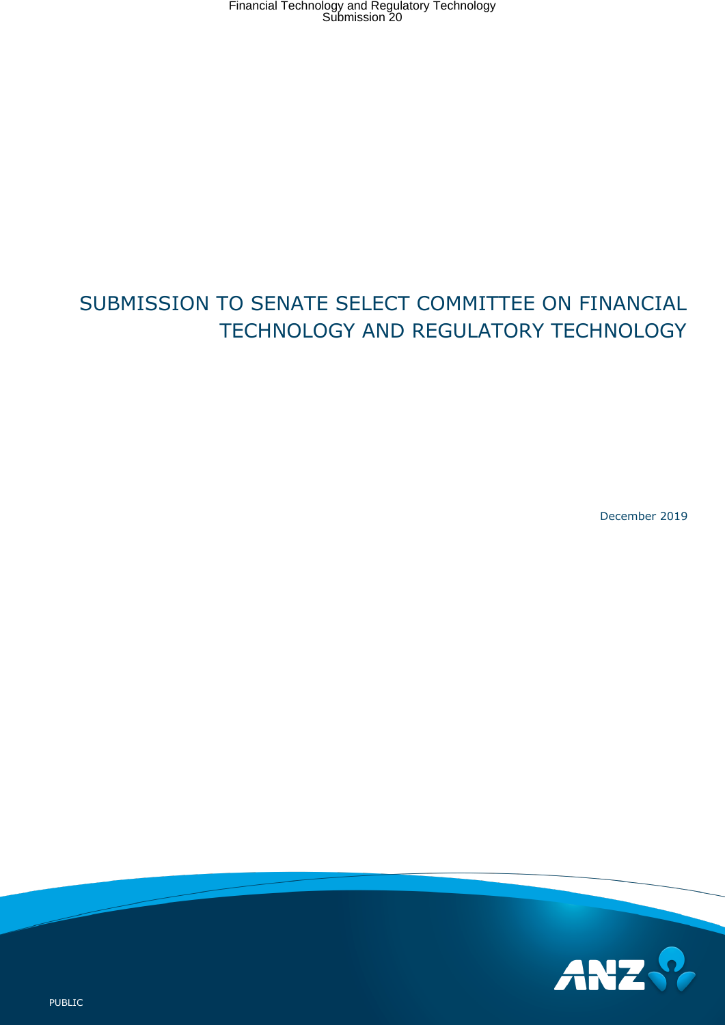# SUBMISSION TO SENATE SELECT COMMITTEE ON FINANCIAL TECHNOLOGY AND REGULATORY TECHNOLOGY

December 2019

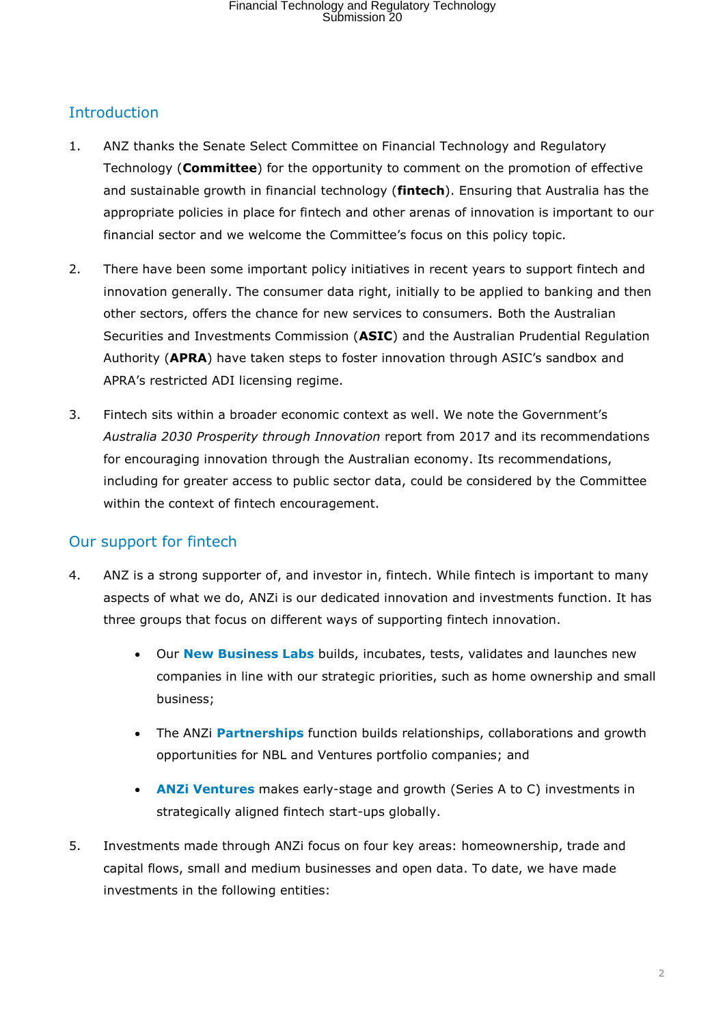## Introduction

- 1. ANZ thanks the Senate Select Committee on Financial Technology and Regulatory Technology (**Committee**) for the opportunity to comment on the promotion of effective and sustainable growth in financial technology (**fintech**). Ensuring that Australia has the appropriate policies in place for fintech and other arenas of innovation is important to our financial sector and we welcome the Committee's focus on this policy topic.
- 2. There have been some important policy initiatives in recent years to support fintech and innovation generally. The consumer data right, initially to be applied to banking and then other sectors, offers the chance for new services to consumers. Both the Australian Securities and Investments Commission (**ASIC**) and the Australian Prudential Regulation Authority (**APRA**) have taken steps to foster innovation through ASIC's sandbox and APRA's restricted ADI licensing regime.
- 3. Fintech sits within a broader economic context as well. We note the Government's *Australia 2030 Prosperity through Innovation* report from 2017 and its recommendations for encouraging innovation through the Australian economy. Its recommendations, including for greater access to public sector data, could be considered by the Committee within the context of fintech encouragement.

## Our support for fintech

- 4. ANZ is a strong supporter of, and investor in, fintech. While fintech is important to many aspects of what we do, ANZi is our dedicated innovation and investments function. It has three groups that focus on different ways of supporting fintech innovation.
	- Our **New Business Labs** builds, incubates, tests, validates and launches new companies in line with our strategic priorities, such as home ownership and small business;
	- The ANZi **Partnerships** function builds relationships, collaborations and growth opportunities for NBL and Ventures portfolio companies; and
	- **ANZi Ventures** makes early-stage and growth (Series A to C) investments in strategically aligned fintech start-ups globally.
- 5. Investments made through ANZi focus on four key areas: homeownership, trade and capital flows, small and medium businesses and open data. To date, we have made investments in the following entities: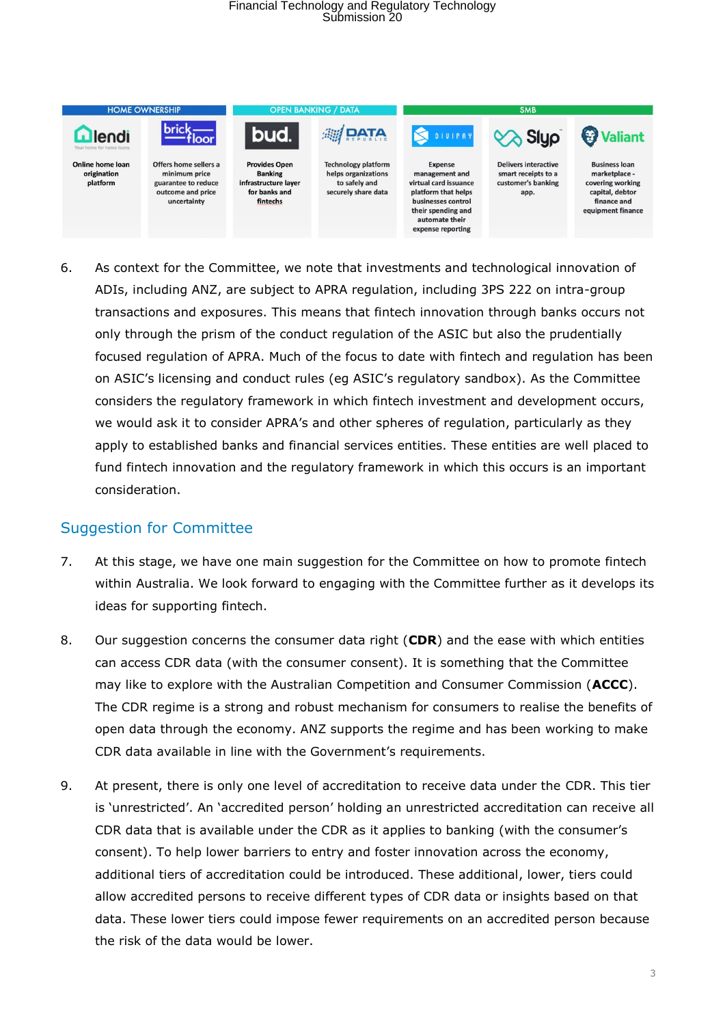

6. As context for the Committee, we note that investments and technological innovation of ADIs, including ANZ, are subject to APRA regulation, including 3PS 222 on intra-group transactions and exposures. This means that fintech innovation through banks occurs not only through the prism of the conduct regulation of the ASIC but also the prudentially focused regulation of APRA. Much of the focus to date with fintech and regulation has been on ASIC's licensing and conduct rules (eg ASIC's regulatory sandbox). As the Committee considers the regulatory framework in which fintech investment and development occurs, we would ask it to consider APRA's and other spheres of regulation, particularly as they apply to established banks and financial services entities. These entities are well placed to fund fintech innovation and the regulatory framework in which this occurs is an important consideration.

### Suggestion for Committee

- 7. At this stage, we have one main suggestion for the Committee on how to promote fintech within Australia. We look forward to engaging with the Committee further as it develops its ideas for supporting fintech.
- 8. Our suggestion concerns the consumer data right (**CDR**) and the ease with which entities can access CDR data (with the consumer consent). It is something that the Committee may like to explore with the Australian Competition and Consumer Commission (**ACCC**). The CDR regime is a strong and robust mechanism for consumers to realise the benefits of open data through the economy. ANZ supports the regime and has been working to make CDR data available in line with the Government's requirements.
- 9. At present, there is only one level of accreditation to receive data under the CDR. This tier is 'unrestricted'. An 'accredited person' holding an unrestricted accreditation can receive all CDR data that is available under the CDR as it applies to banking (with the consumer's consent). To help lower barriers to entry and foster innovation across the economy, additional tiers of accreditation could be introduced. These additional, lower, tiers could allow accredited persons to receive different types of CDR data or insights based on that data. These lower tiers could impose fewer requirements on an accredited person because the risk of the data would be lower.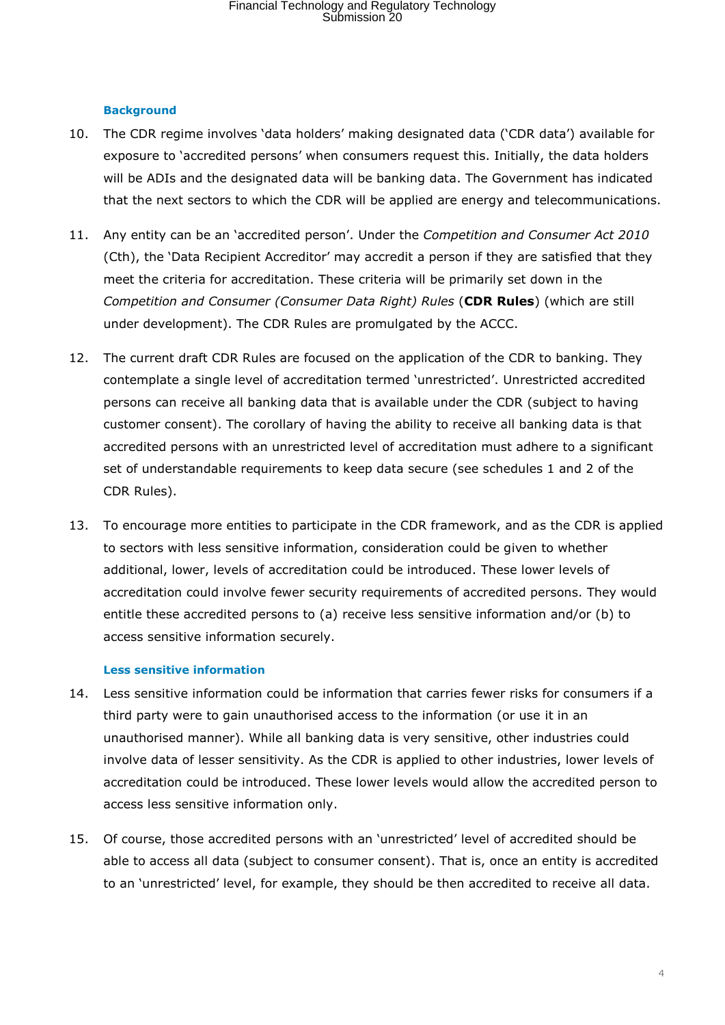#### **Background**

- 10. The CDR regime involves 'data holders' making designated data ('CDR data') available for exposure to 'accredited persons' when consumers request this. Initially, the data holders will be ADIs and the designated data will be banking data. The Government has indicated that the next sectors to which the CDR will be applied are energy and telecommunications.
- 11. Any entity can be an 'accredited person'. Under the *Competition and Consumer Act 2010* (Cth), the 'Data Recipient Accreditor' may accredit a person if they are satisfied that they meet the criteria for accreditation. These criteria will be primarily set down in the *Competition and Consumer (Consumer Data Right) Rules* (**CDR Rules**) (which are still under development). The CDR Rules are promulgated by the ACCC.
- 12. The current draft CDR Rules are focused on the application of the CDR to banking. They contemplate a single level of accreditation termed 'unrestricted'. Unrestricted accredited persons can receive all banking data that is available under the CDR (subject to having customer consent). The corollary of having the ability to receive all banking data is that accredited persons with an unrestricted level of accreditation must adhere to a significant set of understandable requirements to keep data secure (see schedules 1 and 2 of the CDR Rules).
- 13. To encourage more entities to participate in the CDR framework, and as the CDR is applied to sectors with less sensitive information, consideration could be given to whether additional, lower, levels of accreditation could be introduced. These lower levels of accreditation could involve fewer security requirements of accredited persons. They would entitle these accredited persons to (a) receive less sensitive information and/or (b) to access sensitive information securely.

#### **Less sensitive information**

- 14. Less sensitive information could be information that carries fewer risks for consumers if a third party were to gain unauthorised access to the information (or use it in an unauthorised manner). While all banking data is very sensitive, other industries could involve data of lesser sensitivity. As the CDR is applied to other industries, lower levels of accreditation could be introduced. These lower levels would allow the accredited person to access less sensitive information only.
- 15. Of course, those accredited persons with an 'unrestricted' level of accredited should be able to access all data (subject to consumer consent). That is, once an entity is accredited to an 'unrestricted' level, for example, they should be then accredited to receive all data.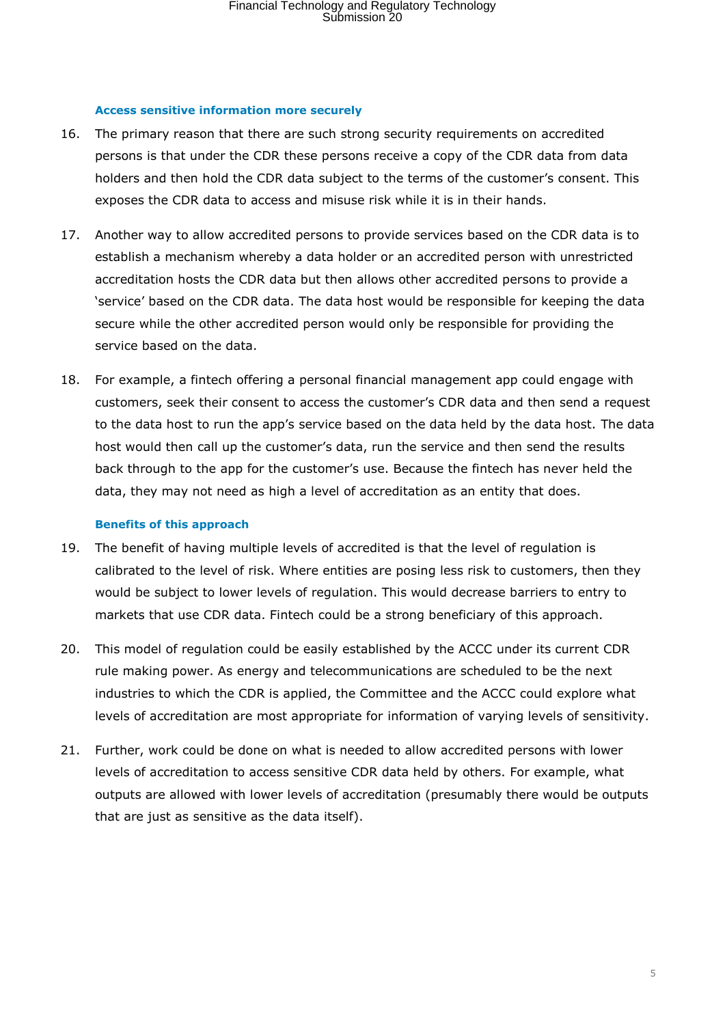#### **Access sensitive information more securely**

- 16. The primary reason that there are such strong security requirements on accredited persons is that under the CDR these persons receive a copy of the CDR data from data holders and then hold the CDR data subject to the terms of the customer's consent. This exposes the CDR data to access and misuse risk while it is in their hands.
- 17. Another way to allow accredited persons to provide services based on the CDR data is to establish a mechanism whereby a data holder or an accredited person with unrestricted accreditation hosts the CDR data but then allows other accredited persons to provide a 'service' based on the CDR data. The data host would be responsible for keeping the data secure while the other accredited person would only be responsible for providing the service based on the data.
- 18. For example, a fintech offering a personal financial management app could engage with customers, seek their consent to access the customer's CDR data and then send a request to the data host to run the app's service based on the data held by the data host. The data host would then call up the customer's data, run the service and then send the results back through to the app for the customer's use. Because the fintech has never held the data, they may not need as high a level of accreditation as an entity that does.

#### **Benefits of this approach**

- 19. The benefit of having multiple levels of accredited is that the level of regulation is calibrated to the level of risk. Where entities are posing less risk to customers, then they would be subject to lower levels of regulation. This would decrease barriers to entry to markets that use CDR data. Fintech could be a strong beneficiary of this approach.
- 20. This model of regulation could be easily established by the ACCC under its current CDR rule making power. As energy and telecommunications are scheduled to be the next industries to which the CDR is applied, the Committee and the ACCC could explore what levels of accreditation are most appropriate for information of varying levels of sensitivity.
- 21. Further, work could be done on what is needed to allow accredited persons with lower levels of accreditation to access sensitive CDR data held by others. For example, what outputs are allowed with lower levels of accreditation (presumably there would be outputs that are just as sensitive as the data itself).